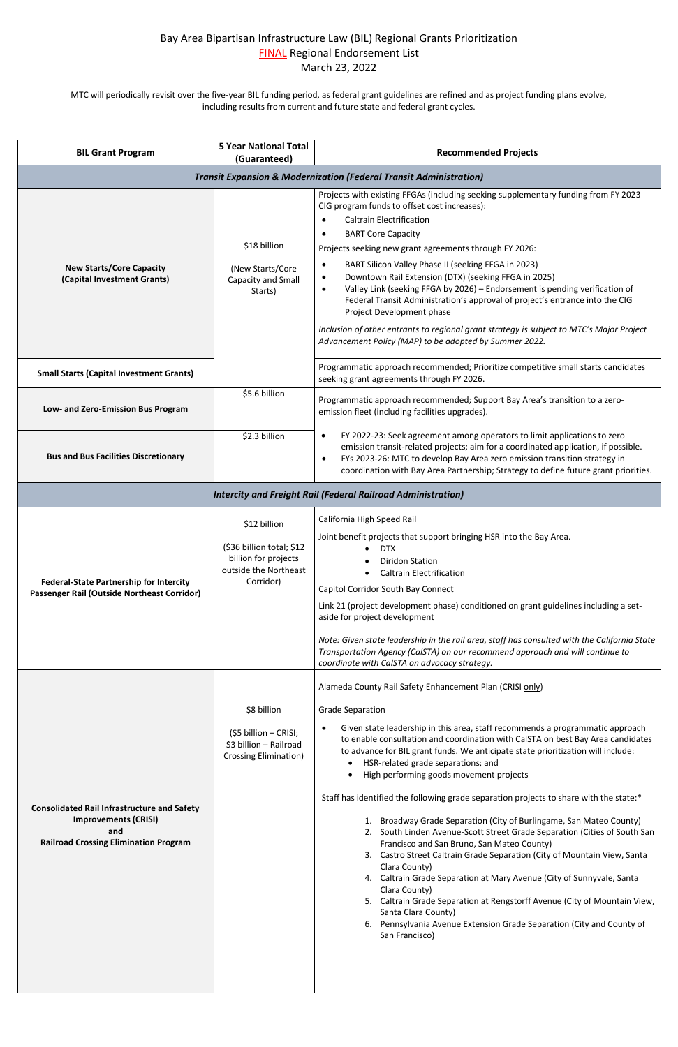## Bay Area Bipartisan Infrastructure Law (BIL) Regional Grants Prioritization FINAL Regional Endorsement List March 23, 2022

MTC will periodically revisit over the five-year BIL funding period, as federal grant guidelines are refined and as project funding plans evolve, including results from current and future state and federal grant cycles.

| <b>BIL Grant Program</b>                                                                      | <b>5 Year National Total</b><br>(Guaranteed)                                                            | <b>Recommended Projects</b>                                                                                                                                                                                                                                                                                                                                                                                                                                                                                                                                                                                                                                                                                                                                                                    |
|-----------------------------------------------------------------------------------------------|---------------------------------------------------------------------------------------------------------|------------------------------------------------------------------------------------------------------------------------------------------------------------------------------------------------------------------------------------------------------------------------------------------------------------------------------------------------------------------------------------------------------------------------------------------------------------------------------------------------------------------------------------------------------------------------------------------------------------------------------------------------------------------------------------------------------------------------------------------------------------------------------------------------|
| <b>Transit Expansion &amp; Modernization (Federal Transit Administration)</b>                 |                                                                                                         |                                                                                                                                                                                                                                                                                                                                                                                                                                                                                                                                                                                                                                                                                                                                                                                                |
| <b>New Starts/Core Capacity</b><br>(Capital Investment Grants)                                | \$18 billion<br>(New Starts/Core<br>Capacity and Small<br>Starts)                                       | Projects with existing FFGAs (including seeking supplementary funding from FY 2023<br>CIG program funds to offset cost increases):<br><b>Caltrain Electrification</b><br>$\bullet$<br><b>BART Core Capacity</b><br>$\bullet$<br>Projects seeking new grant agreements through FY 2026:<br>BART Silicon Valley Phase II (seeking FFGA in 2023)<br>$\bullet$<br>Downtown Rail Extension (DTX) (seeking FFGA in 2025)<br>$\bullet$<br>Valley Link (seeking FFGA by 2026) - Endorsement is pending verification of<br>$\bullet$<br>Federal Transit Administration's approval of project's entrance into the CIG<br>Project Development phase<br>Inclusion of other entrants to regional grant strategy is subject to MTC's Major Project<br>Advancement Policy (MAP) to be adopted by Summer 2022. |
| <b>Small Starts (Capital Investment Grants)</b>                                               |                                                                                                         | Programmatic approach recommended; Prioritize competitive small starts candidates<br>seeking grant agreements through FY 2026.                                                                                                                                                                                                                                                                                                                                                                                                                                                                                                                                                                                                                                                                 |
| Low- and Zero-Emission Bus Program                                                            | \$5.6 billion                                                                                           | Programmatic approach recommended; Support Bay Area's transition to a zero-<br>emission fleet (including facilities upgrades).                                                                                                                                                                                                                                                                                                                                                                                                                                                                                                                                                                                                                                                                 |
| <b>Bus and Bus Facilities Discretionary</b>                                                   | \$2.3 billion                                                                                           | FY 2022-23: Seek agreement among operators to limit applications to zero<br>$\bullet$<br>emission transit-related projects; aim for a coordinated application, if possible.<br>FYs 2023-26: MTC to develop Bay Area zero emission transition strategy in<br>$\bullet$<br>coordination with Bay Area Partnership; Strategy to define future grant priorities.                                                                                                                                                                                                                                                                                                                                                                                                                                   |
| <b>Intercity and Freight Rail (Federal Railroad Administration)</b>                           |                                                                                                         |                                                                                                                                                                                                                                                                                                                                                                                                                                                                                                                                                                                                                                                                                                                                                                                                |
| <b>Federal-State Partnership for Intercity</b><br>Passenger Rail (Outside Northeast Corridor) | \$12 billion<br>(\$36 billion total; \$12<br>billion for projects<br>outside the Northeast<br>Corridor) | California High Speed Rail<br>Joint benefit projects that support bringing HSR into the Bay Area.<br><b>DTX</b><br><b>Diridon Station</b><br><b>Caltrain Electrification</b><br>Capitol Corridor South Bay Connect<br>Link 21 (project development phase) conditioned on grant guidelines including a set-<br>aside for project development<br>Note: Given state leadership in the rail area, staff has consulted with the California State<br>Transportation Agency (CalSTA) on our recommend approach and will continue to<br>coordinate with CalSTA on advocacy strategy.                                                                                                                                                                                                                   |
|                                                                                               | \$8 billion<br>(\$5 billion - CRISI;<br>\$3 billion - Railroad<br><b>Crossing Elimination)</b>          | Alameda County Rail Safety Enhancement Plan (CRISI only)<br><b>Grade Separation</b><br>Given state leadership in this area, staff recommends a programmatic approach<br>$\bullet$<br>to enable consultation and coordination with CalSTA on best Bay Area candidates<br>to advance for BIL grant funds. We anticipate state prioritization will include:<br>HSR-related grade separations; and                                                                                                                                                                                                                                                                                                                                                                                                 |

## **[Consolidated Rail Infrastructure and Safety](https://railroads.dot.gov/grants-loans/competitive-discretionary-grant-programs/consolidated-rail-infrastructure-and-safety-2)  [Improvements \(CRISI\)](https://railroads.dot.gov/grants-loans/competitive-discretionary-grant-programs/consolidated-rail-infrastructure-and-safety-2) [and](https://railroads.dot.gov/grants-loans/competitive-discretionary-grant-programs/consolidated-rail-infrastructure-and-safety-2) [Railroad Crossing Elimination Program](https://railroads.dot.gov/grants-loans/competitive-discretionary-grant-programs/consolidated-rail-infrastructure-and-safety-2)** • High performing goods movement projects Staff has identified the following grade separation projects to share with the state:\* 1. Broadway Grade Separation (City of Burlingame, San Mateo County) 2. South Linden Avenue-Scott Street Grade Separation (Cities of South San Francisco and San Bruno, San Mateo County) 3. Castro Street Caltrain Grade Separation (City of Mountain View, Santa Clara County) 4. Caltrain Grade Separation at Mary Avenue (City of Sunnyvale, Santa Clara County) 5. Caltrain Grade Separation at Rengstorff Avenue (City of Mountain View, Santa Clara County) 6. Pennsylvania Avenue Extension Grade Separation (City and County of San Francisco)